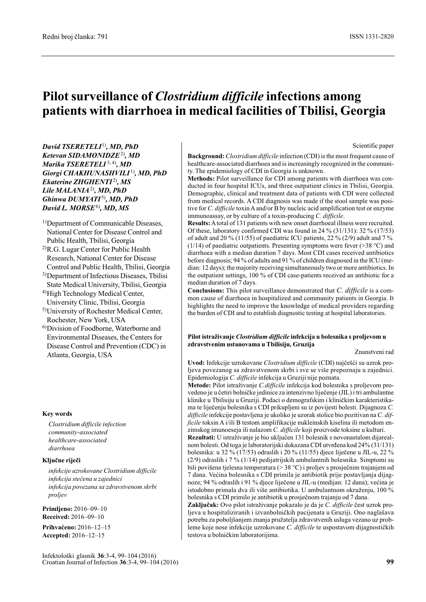# Pilot surveillance of Clostridium difficile infections among patients with diarrhoea in medical facilities of Tbilisi, Georgia

David TSERETELI<sup>1</sup>), MD, PhD Ketevan SIDAMONIDZE<sup>2)</sup>, MD Marika TSERETELI<sup>3, 4)</sup>, MD Giorgi CHAKHUNASHVILI<sup>1)</sup>, MD, PhD Ekaterine ZHGHENTI<sup>2</sup>), MS Lile  $MALANIA<sup>2</sup>$ , MD, PhD Ghinwa DUMYATI<sup>5)</sup>, MD, PhD David L.  $MORSE^{6}$ , MD, MS

- <sup>1)</sup>Department of Communicable Diseases, National Center for Disease Control and Public Health, Tbilisi, Georgia
- 2)R.G. Lugar Center for Public Health Research, National Center for Disease Control and Public Health, Tbilisi, Georgia
- 3)Department of Infectious Diseases, Tbilisi State Medical University, Tbilisi, Georgia 4)High Technology Medical Center,
- University Clinic, Tbilisi, Georgia
- 5)University of Rochester Medical Center, Rochester, New York, USA
- 6)Division of Foodborne, Waterborne and Environmental Diseases, the Centers for Disease Control and Prevention (CDC) in Atlanta, Georgia, USA

#### Key words

Clostridium difficile infection community-associated healthcare-associated diarrhoea

#### Ključne riječi

infekcije uzrokovane Clostridium difficile infekcija stečena u zajednici infekcija povezana sa zdravstvenom skrbi proljev

Primljeno: 2016–09–10 Received: 2016–09–10

Prihvaćeno: 2016–12–15 Accepted: 2016–12–15

Scientific paper

Background: *Clostridium difficile* infection (CDI) is the most frequent cause of healthcare-associated diarrhoea and is increasingly recognized in the community. The epidemiology of CDI in Georgia is unknown.

Methods: Pilot surveillance for CDI among patients with diarrhoea was conducted in four hospital ICUs, and three outpatient clinics in Tbilisi, Georgia. Demographic, clinical and treatment data of patients with CDI were collected from medical records. A CDI diagnosis was made if the stool sample was positive for C. difficile toxin A and/or B by nucleic acid amplification test or enzyme immunoassay, or by culture of a toxin-producing C. difficile.

Results:Atotal of 131 patients with new onset diarrhoeal illness were recruited. Of these, laboratory confirmed CDI was found in 24 % (31/131): 32 % (17/53) of adult and 20 % (11/55) of paediatric ICU patients, 22 % (2/9) adult and 7 % (1/14) of paediatric outpatients. Presenting symptoms were fever (>38 °C) and diarrhoea with a median duration 7 days. Most CDI cases received antibiotics before diagnosis; 94 % of adults and 91 % of children diagnosed in the ICU (median: 12 days); the majority receiving simultaneously two or more antibiotics. In the outpatient settings, 100 % of CDI case-patients received an antibiotic for a median duration of 7 days.

Conclusions: This pilot surveillance demonstrated that C. difficile is a common cause of diarrhoea in hospitalized and community patients in Georgia. It highlights the need to improve the knowledge of medical providers regarding the burden of CDI and to establish diagnostic testing at hospital laboratories.

#### Pilot istraživanje Clostridium difficile infekcija u bolesnika s proljevom u zdravstvenim ustanovama u Tbilisiju, Gruzija

#### Znanstveni rad

Uvod: Infekcije uzrokovane Clostridium difficile (CDI) najčešći su uzrok proljeva povezanog sa zdravstvenom skrbi i sve se više prepoznaju u zajednici. Epidemiologija C. difficile infekcija u Gruziji nije poznata.

Metode: Pilot istraživanje C.difficile infekcija kod bolesnika s proljevom provedeno je u četiri bolničke jedinice za intenzivno liječenje (JIL) i tri ambulantne klinike u Tbilisiju u Gruziji. Podaci o demografskim i kliničkim karakteristikama te liječenju bolesnika s CDI prikupljeni su iz povijesti bolesti. Dijagnoza C. difficile infekcije postavljena je ukoliko je uzorak stolice bio pozitivan na C. difficile toksin A i/ili B testom amplifikacije nukleinskih kiselina ili metodom enzimskog imunoeseja ili nalazom C. difficile koji proizvode toksine u kulturi.

Rezultati: U istraživanje je bio uključen 131 bolesnik s novonastalom dijarealnom bolesti. Od toga je laboratorijski dokazana CDI utvrđena kod 24% (31/131) bolesnika: u 32 % (17/53) odraslih i 20 % (11/55) djece liječene u JIL-u, 22 % (2/9) odraslih i 7 % (1/14) pedijatrijskih ambulantnih bolesnika. Simptomi su bili povišena tjelesna temperatura (> 38 °C) i proljev s prosječnim trajanjem od 7 dana. Većina bolesnika s CDI primila je antibiotik prije postavljanja dijagnoze; 94 % odraslih i 91 % djece liječene u JIL-u (medijan: 12 dana); većina je istodobno primala dva ili više antibiotika. U ambulantnom okruženju, 100 % bolesnika s CDI primilo je antibiotik u prosječnom trajanju od 7 dana.

Zaključak: Ovo pilot istraživanje pokazalo je da je C. difficile čest uzrok proljeva u hospitaliziranih i izvanbolničkih pacijenata u Gruziji. Ono naglašava potrebu za poboljšanjem znanja pružatelja zdravstvenih usluga vezano uz probleme koje nose infekcije uzrokovane C. difficile te uspostavom dijagnostičkih testova u bolničkim laboratorijima.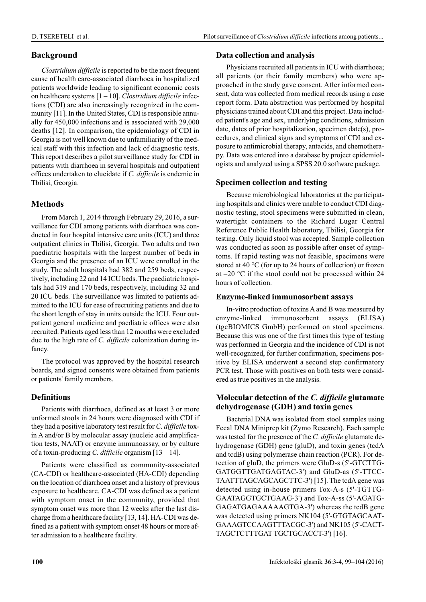## Background

Clostridium difficile is reported to be the most frequent cause of health care-associated diarrhoea in hospitalized patients worldwide leading to significant economic costs on healthcare systems  $[1 - 10]$ . Clostridium difficile infections (CDI) are also increasingly recognized in the community [11]. In the United States, CDI is responsible annually for 450,000 infections and is associated with 29,000 deaths [12]. In comparison, the epidemiology of CDI in Georgia is not well known due to unfamiliarity of the medical staff with this infection and lack of diagnostic tests. This report describes a pilot surveillance study for CDI in patients with diarrhoea in several hospitals and outpatient offices undertaken to elucidate if C. difficile is endemic in Tbilisi, Georgia.

## Methods

From March 1, 2014 through February 29, 2016, a surveillance for CDI among patients with diarrhoea was conducted in four hospital intensive care units (ICU) and three outpatient clinics in Tbilisi, Georgia. Two adults and two paediatric hospitals with the largest number of beds in Georgia and the presence of an ICU were enrolled in the study. The adult hospitals had 382 and 259 beds, respectively, including 22 and 14 ICU beds. The paediatric hospitals had 319 and 170 beds, respectively, including 32 and 20 ICU beds. The surveillance was limited to patients admitted to the ICU for ease of recruiting patients and due to the short length of stay in units outside the ICU. Four outpatient general medicine and paediatric offices were also recruited. Patients aged less than 12 months were excluded due to the high rate of C. *difficile* colonization during infancy.

The protocol was approved by the hospital research boards, and signed consents were obtained from patients or patients' family members.

## Definitions

Patients with diarrhoea, defined as at least 3 or more unformed stools in 24 hours were diagnosed with CDI if they had a positive laboratory test result for C. difficile toxin A and/or B by molecular assay (nucleic acid amplification tests, NAAT) or enzyme immunoassay, or by culture of a toxin-producing C. difficile organism  $[13 - 14]$ .

Patients were classified as community-associated (CA-CDI) or healthcare-associated (HA-CDI) depending on the location of diarrhoea onset and a history of previous exposure to healthcare. CA-CDI was defined as a patient with symptom onset in the community, provided that symptom onset was more than 12 weeks after the last discharge from a healthcare facility [13, 14]. HA-CDI was defined as a patient with symptom onset 48 hours or more after admission to a healthcare facility.

## Data collection and analysis

Physicians recruited all patients in ICU with diarrhoea; all patients (or their family members) who were approached in the study gave consent. After informed consent, data was collected from medical records using a case report form. Data abstraction was performed by hospital physicians trained about CDI and this project. Data included patient's age and sex, underlying conditions, admission date, dates of prior hospitalization, specimen date(s), procedures, and clinical signs and symptoms of CDI and exposure to antimicrobial therapy, antacids, and chemotherapy. Data was entered into a database by project epidemiologists and analyzed using a SPSS 20.0 software package.

## Specimen collection and testing

Because microbiological laboratories at the participating hospitals and clinics were unable to conduct CDI diagnostic testing, stool specimens were submitted in clean, watertight containers to the Richard Lugar Central Reference Public Health laboratory, Tbilisi, Georgia for testing. Only liquid stool was accepted. Sample collection was conducted as soon as possible after onset of symptoms. If rapid testing was not feasible, specimens were stored at 40 °C (for up to 24 hours of collection) or frozen at  $-20$  °C if the stool could not be processed within 24 hours of collection.

## Enzyme-linked immunosorbent assays

In-vitro production of toxins A and B was measured by enzyme-linked immunosorbent assays (ELISA) (tgcBIOMICS GmbH) performed on stool specimens. Because this was one of the first times this type of testing was performed in Georgia and the incidence of CDI is not well-recognized, for further confirmation, specimens positive by ELISA underwent a second step confirmatory PCR test. Those with positives on both tests were considered as true positives in the analysis.

## Molecular detection of the C. difficile glutamate dehydrogenase (GDH) and toxin genes

Bacterial DNA was isolated from stool samples using Fecal DNA Miniprep kit (Zymo Research). Each sample was tested for the presence of the C. difficile glutamate dehydrogenase (GDH) gene (gluD), and toxin genes (tcdA and tcdB) using polymerase chain reaction (PCR). For detection of gluD, the primers were GluD-s (5'-GTCTTG-GATGGTTGATGAGTAC-3') and GluD-as (5'-TTCC-TAATTTAGCAGCAGCTTC-3') [15]. The tcdA gene was detected using in-house primers Tox-A-s (5'-TGTTG-GAATAGGTGCTGAAG-3') and Tox-A-ss (5'-AGATG-GAGATGAGAAAAAGTGA-3') whereas the tcdB gene was detected using primers NK104 (5'-GTGTAGCAAT-GAAAGTCCAAGTTTACGC-3') and NK105 (5'-CACT-TAGCTCTTTGAT TGCTGCACCT-3') [16].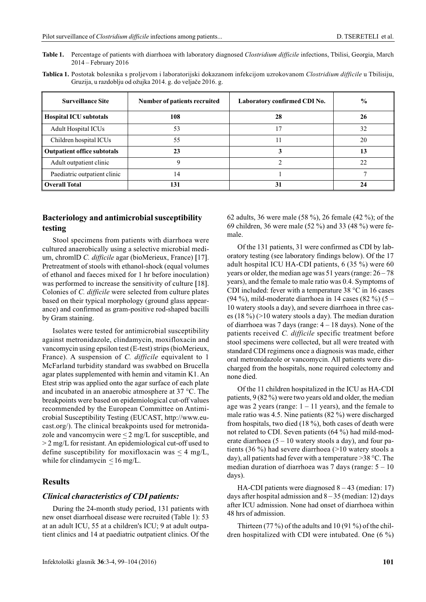- Table 1. Percentage of patients with diarrhoea with laboratory diagnosed Clostridium difficile infections, Tbilisi, Georgia, March 2014 – February 2016
- Tablica 1. Postotak bolesnika s proljevom i laboratorijski dokazanom infekcijom uzrokovanom Clostridium difficile u Tbilisiju. Gruzija, u razdoblju od ožujka 2014. g. do veljače 2016. g.

| <b>Surveillance Site</b>           | Number of patients recruited | Laboratory confirmed CDI No. | $\frac{6}{9}$ |
|------------------------------------|------------------------------|------------------------------|---------------|
| <b>Hospital ICU subtotals</b>      | 108                          | 28                           | 26            |
| <b>Adult Hospital ICUs</b>         | 53                           | 17                           | 32            |
| Children hospital ICUs             | 55                           |                              | 20            |
| <b>Outpatient office subtotals</b> | 23                           |                              | 13            |
| Adult outpatient clinic            | q                            |                              | 22            |
| Paediatric outpatient clinic       | 14                           |                              |               |
| <b>Overall Total</b>               | 131                          | 31                           | 24            |

## Bacteriology and antimicrobial susceptibility testing

Stool specimens from patients with diarrhoea were cultured anaerobically using a selective microbial medium, chromlD C. difficile agar (bioMerieux, France) [17]. Pretreatment of stools with ethanol-shock (equal volumes of ethanol and faeces mixed for 1 hr before inoculation) was performed to increase the sensitivity of culture [18]. Colonies of C. difficile were selected from culture plates based on their typical morphology (ground glass appearance) and confirmed as gram-positive rod-shaped bacilli by Gram staining.

Isolates were tested for antimicrobial susceptibility against metronidazole, clindamycin, moxifloxacin and vancomycin using epsilon test (E-test) strips (bioMerieux, France). A suspension of C. difficile equivalent to 1 McFarland turbidity standard was swabbed on Brucella agar plates supplemented with hemin and vitamin K1. An Etest strip was applied onto the agar surface of each plate and incubated in an anaerobic atmosphere at 37 °C. The breakpoints were based on epidemiological cut-off values recommended by the European Committee on Antimicrobial Susceptibility Testing (EUCAST, http://www.eucast.org/). The clinical breakpoints used for metronidazole and vancomycin were  $\leq 2$  mg/L for susceptible, and > 2 mg/L for resistant. An epidemiological cut-off used to define susceptibility for moxifloxacin was  $\leq 4$  mg/L, while for clindamycin  $\leq 16$  mg/L.

#### **Results**

#### Clinical characteristics of CDI patients:

During the 24-month study period, 131 patients with new onset diarrhoeal disease were recruited (Table 1): 53 at an adult ICU, 55 at a children's ICU; 9 at adult outpatient clinics and 14 at paediatric outpatient clinics. Of the 62 adults, 36 were male (58 %), 26 female (42 %); of the 69 children, 36 were male (52 %) and 33 (48 %) were female.

Of the 131 patients, 31 were confirmed as CDI by laboratory testing (see laboratory findings below). Of the 17 adult hospital ICU HA-CDI patients, 6 (35 %) were 60 years or older, the median age was 51 years (range: 26 – 78 years), and the female to male ratio was 0.4. Symptoms of CDI included: fever with a temperature 38 °C in 16 cases (94 %), mild-moderate diarrhoea in 14 cases (82 %) (5 – 10 watery stools a day), and severe diarrhoea in three cases (18 %) (>10 watery stools a day). The median duration of diarrhoea was 7 days (range: 4 – 18 days). None of the patients received C. difficile specific treatment before stool specimens were collected, but all were treated with standard CDI regimens once a diagnosis was made, either oral metronidazole or vancomycin. All patients were discharged from the hospitals, none required colectomy and none died.

Of the 11 children hospitalized in the ICU as HA-CDI patients, 9 (82 %) were two years old and older, the median age was 2 years (range:  $1 - 11$  years), and the female to male ratio was 4.5. Nine patients (82 %) were discharged from hospitals, two died (18 %), both cases of death were not related to CDI. Seven patients (64 %) had mild-moderate diarrhoea  $(5 - 10$  watery stools a day), and four patients (36 %) had severe diarrhoea (>10 watery stools a day), all patients had fever with a temperature >38 °C. The median duration of diarrhoea was 7 days (range: 5 – 10 days).

HA-CDI patients were diagnosed  $8 - 43$  (median: 17) days after hospital admission and  $8-35$  (median: 12) days after ICU admission. None had onset of diarrhoea within 48 hrs of admission.

Thirteen  $(77\%)$  of the adults and 10 (91 %) of the children hospitalized with CDI were intubated. One (6 %)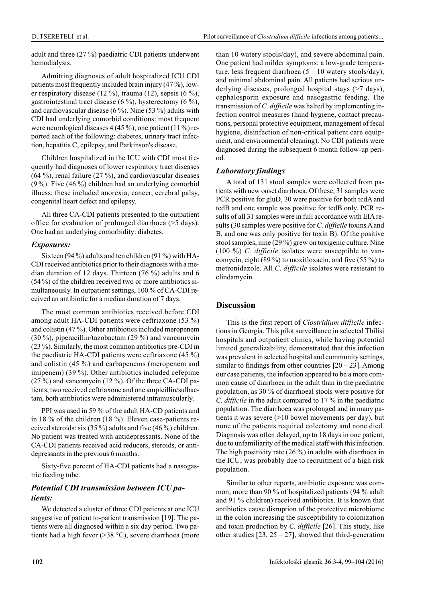adult and three (27 %) paediatric CDI patients underwent hemodialysis.

Admitting diagnoses of adult hospitalized ICU CDI patients most frequently included brain injury (47 %), lower respiratory disease (12 %), trauma (12), sepsis (6 %), gastrointestinal tract disease  $(6\%)$ , hysterectomy  $(6\%)$ , and cardiovascular disease (6 %). Nine (53 %) adults with CDI had underlying comorbid conditions: most frequent were neurological diseases  $4(45\%)$ ; one patient  $(11\%)$  reported each of the following: diabetes, urinary tract infection, hepatitis C, epilepsy, and Parkinson's disease.

Children hospitalized in the ICU with CDI most frequently had diagnoses of lower respiratory tract diseases  $(64 \%)$ , renal failure  $(27 \%)$ , and cardiovascular diseases (9 %). Five (46 %) children had an underlying comorbid illness; these included anorexia, cancer, cerebral palsy, congenital heart defect and epilepsy.

All three CA-CDI patients presented to the outpatient office for evaluation of prolonged diarrhoea (>5 days). One had an underlying comorbidity: diabetes.

## Exposures:

Sixteen (94 %) adults and ten children (91 %) with HA-CDI received antibiotics prior to their diagnosis with a median duration of 12 days. Thirteen (76 %) adults and 6 (54 %) of the children received two or more antibiotics simultaneously. In outpatient settings, 100 % of CA-CDI received an antibiotic for a median duration of 7 days.

The most common antibiotics received before CDI among adult HA-CDI patients were ceftriaxone (53 %) and colistin (47 %). Other antibiotics included meropenem (30 %), piperacillin/tazobactam (29 %) and vancomycin (23 %). Similarly, the most common antibiotics pre-CDI in the paediatric HA-CDI patients were ceftriaxone (45 %) and colistin (45 %) and carbapenems (meropenem and imipenem) (39 %). Other antibiotics included cefepime  $(27 \%)$  and vancomycin  $(12 \%)$ . Of the three CA-CDI patients, two received ceftriaxone and one ampicillin/sulbactam, both antibiotics were administered intramuscularly.

PPI was used in 59 % of the adult HA-CD patients and in 18 % of the children (18 %). Eleven case-patients received steroids: six (35 %) adults and five (46 %) children. No patient was treated with antidepressants. None of the CA-CDI patients received acid reducers, steroids, or antidepressants in the previous 6 months.

Sixty-five percent of HA-CDI patients had a nasogastric feeding tube.

## Potential CDI transmission between ICU patients:

We detected a cluster of three CDI patients at one ICU suggestive of patient to-patient transmission [19]. The patients were all diagnosed within a six day period. Two patients had a high fever (>38 °C), severe diarrhoea (more than 10 watery stools/day), and severe abdominal pain. One patient had milder symptoms: a low-grade temperature, less frequent diarrhoea  $(5 - 10$  watery stools/day), and minimal abdominal pain. All patients had serious underlying diseases, prolonged hospital stays (>7 days), cephalosporin exposure and nasogastric feeding. The transmission of C. difficile was halted by implementing infection control measures (hand hygiene, contact precautions, personal protective equipment, management of fecal hygiene, disinfection of non-critical patient care equipment, and environmental cleaning). No CDI patients were diagnosed during the subsequent 6 month follow-up period.

## Laboratory findings

A total of 131 stool samples were collected from patients with new onset diarrhoea. Of these, 31 samples were PCR positive for gluD, 30 were positive for both tcdA and tcdB and one sample was positive for tcdB only. PCR results of all 31 samples were in full accordance with EIAresults (30 samples were positive for C. difficile toxins A and B, and one was only positive for toxin B). Of the positive stool samples, nine (29 %) grew on toxigenic culture. Nine  $(100 \%)$  C. *difficile* isolates were susceptible to vancomycin, eight (89 %) to moxifloxacin, and five (55 %) to metronidazole. All C. difficile isolates were resistant to clindamycin.

## **Discussion**

This is the first report of *Clostridium difficile* infections in Georgia. This pilot surveillance in selected Tbilisi hospitals and outpatient clinics, while having potential limited generalizability, demonstrated that this infection was prevalent in selected hospital and community settings, similar to findings from other countries  $[20 - 23]$ . Among our case patients, the infection appeared to be a more common cause of diarrhoea in the adult than in the paediatric population, as 30 % of diarrhoeal stools were positive for C. difficile in the adult compared to 17 % in the paediatric population. The diarrhoea was prolonged and in many patients it was severe (>10 bowel movements per day), but none of the patients required colectomy and none died. Diagnosis was often delayed, up to 18 days in one patient, due to unfamiliarity of the medical staff with this infection. The high positivity rate (26 %) in adults with diarrhoea in the ICU, was probably due to recruitment of a high risk population.

Similar to other reports, antibiotic exposure was common; more than 90 % of hospitalized patients (94 % adult and 91 % children) received antibiotics. It is known that antibiotics cause disruption of the protective microbiome in the colon increasing the susceptibility to colonization and toxin production by C. difficile [26]. This study, like other studies  $[23, 25 - 27]$ , showed that third-generation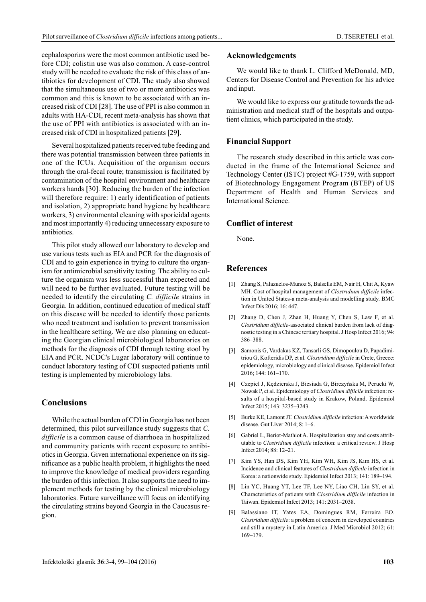cephalosporins were the most common antibiotic used before CDI; colistin use was also common. A case-control study will be needed to evaluate the risk of this class of antibiotics for development of CDI. The study also showed that the simultaneous use of two or more antibiotics was common and this is known to be associated with an increased risk of CDI [28]. The use of PPI is also common in adults with HA-CDI, recent meta-analysis has shown that the use of PPI with antibiotics is associated with an increased risk of CDI in hospitalized patients [29].

Several hospitalized patients received tube feeding and there was potential transmission between three patients in one of the ICUs. Acquisition of the organism occurs through the oral-fecal route; transmission is facilitated by contamination of the hospital environment and healthcare workers hands [30]. Reducing the burden of the infection will therefore require: 1) early identification of patients and isolation, 2) appropriate hand hygiene by healthcare workers, 3) environmental cleaning with sporicidal agents and most importantly 4) reducing unnecessary exposure to antibiotics.

This pilot study allowed our laboratory to develop and use various tests such as EIA and PCR for the diagnosis of CDI and to gain experience in trying to culture the organism for antimicrobial sensitivity testing. The ability to culture the organism was less successful than expected and will need to be further evaluated. Future testing will be needed to identify the circulating C. difficile strains in Georgia. In addition, continued education of medical staff on this disease will be needed to identify those patients who need treatment and isolation to prevent transmission in the healthcare setting. We are also planning on educating the Georgian clinical microbiological laboratories on methods for the diagnosis of CDI through testing stool by EIA and PCR. NCDC's Lugar laboratory will continue to conduct laboratory testing of CDI suspected patients until testing is implemented by microbiology labs.

## Conclusions

While the actual burden of CDI in Georgia has not been determined, this pilot surveillance study suggests that C. difficile is a common cause of diarrhoea in hospitalized and community patients with recent exposure to antibiotics in Georgia. Given international experience on its significance as a public health problem, it highlights the need to improve the knowledge of medical providers regarding the burden of this infection. It also supports the need to implement methods for testing by the clinical microbiology laboratories. Future surveillance will focus on identifying the circulating strains beyond Georgia in the Caucasus region.

#### Acknowledgements

We would like to thank L. Clifford McDonald, MD, Centers for Disease Control and Prevention for his advice and input.

We would like to express our gratitude towards the administration and medical staff of the hospitals and outpatient clinics, which participated in the study.

#### Financial Support

The research study described in this article was conducted in the frame of the International Science and Technology Center (ISTC) project #G-1759, with support of Biotechnology Engagement Program (BTEP) of US Department of Health and Human Services and International Science.

### Conflict of interest

None.

## References

- [1] Zhang S, Palazuelos-Munoz S, Balsells EM, Nair H, Chit A, Kyaw MH. Cost of hospital management of Clostridium difficile infection in United States-a meta-analysis and modelling study. BMC Infect Dis 2016; 16: 447.
- [2] Zhang D, Chen J, Zhan H, Huang Y, Chen S, Law F, et al. Clostridium difficile-associated clinical burden from lack of diagnostic testing in a Chinese tertiary hospital. J Hosp Infect 2016; 94: 386–388.
- [3] Samonis G, Vardakas KZ, Tansarli GS, Dimopoulou D, Papadimitriou G, Kofteridis DP, et al. Clostridium difficile in Crete, Greece: epidemiology, microbiology and clinical disease. Epidemiol Infect 2016; 144: 161–170.
- [4] Czepiel J, Kêdzierska J, Biesiada G, Birczyñska M, Perucki W, Nowak P, et al. Epidemiology of Clostridium difficile infection: results of a hospital-based study in Krakow, Poland. Epidemiol Infect 2015; 143: 3235–3243.
- [5] Burke KE, Lamont JT. Clostridium difficile infection: A worldwide disease. Gut Liver 2014; 8: 1–6.
- [6] Gabriel L, Beriot-Mathiot A. Hospitalization stay and costs attributable to Clostridium difficile infection: a critical review. J Hosp Infect 2014; 88: 12–21.
- [7] Kim YS, Han DS, Kim YH, Kim WH, Kim JS, Kim HS, et al. Incidence and clinical features of Clostridium difficile infection in Korea: a nationwide study. Epidemiol Infect 2013; 141: 189–194.
- [8] Lin YC, Huang YT, Lee TF, Lee NY, Liao CH, Lin SY, et al. Characteristics of patients with Clostridium difficile infection in Taiwan. Epidemiol Infect 2013; 141: 2031–2038.
- [9] Balassiano IT, Yates EA, Domingues RM, Ferreira EO. Clostridium difficile: a problem of concern in developed countries and still a mystery in Latin America. J Med Microbiol 2012; 61: 169–179.